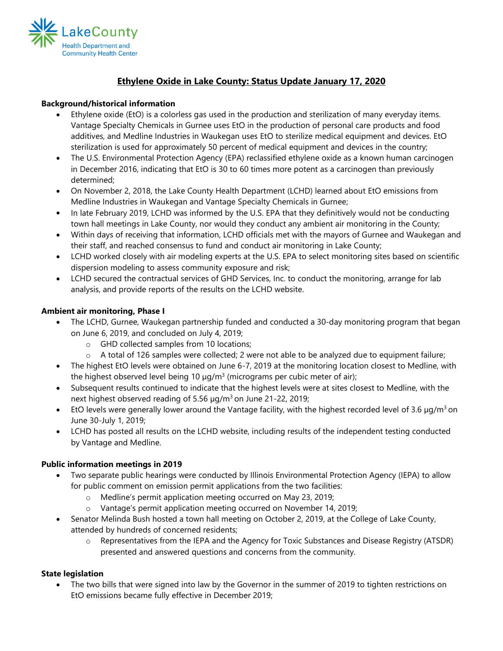

# **Ethylene Oxide in Lake County: Status Update January 17, 2020**

### **Background/historical information**

- Ethylene oxide (EtO) is a colorless gas used in the production and sterilization of many everyday items. Vantage Specialty Chemicals in Gurnee uses EtO in the production of personal care products and food additives, and Medline Industries in Waukegan uses EtO to sterilize medical equipment and devices. EtO sterilization is used for approximately 50 percent of medical equipment and devices in the country;
- The U.S. Environmental Protection Agency (EPA) reclassified ethylene oxide as a known human carcinogen in December 2016, indicating that EtO is 30 to 60 times more potent as a carcinogen than previously determined;
- On November 2, 2018, the Lake County Health Department (LCHD) learned about EtO emissions from Medline Industries in Waukegan and Vantage Specialty Chemicals in Gurnee;
- In late February 2019, LCHD was informed by the U.S. EPA that they definitively would not be conducting town hall meetings in Lake County, nor would they conduct any ambient air monitoring in the County;
- Within days of receiving that information, LCHD officials met with the mayors of Gurnee and Waukegan and their staff, and reached consensus to fund and conduct air monitoring in Lake County;
- LCHD worked closely with air modeling experts at the U.S. EPA to select monitoring sites based on scientific dispersion modeling to assess community exposure and risk;
- LCHD secured the contractual services of GHD Services, Inc. to conduct the monitoring, arrange for lab analysis, and provide reports of the results on the LCHD website.

#### **Ambient air monitoring, Phase I**

- The LCHD, Gurnee, Waukegan partnership funded and conducted a 30-day monitoring program that began on June 6, 2019, and concluded on July 4, 2019;
	- o GHD collected samples from 10 locations;
	- o A total of 126 samples were collected; 2 were not able to be analyzed due to equipment failure;
- The highest EtO levels were obtained on June 6-7, 2019 at the monitoring location closest to Medline, with the highest observed level being 10  $\mu$ g/m<sup>3</sup> (micrograms per cubic meter of air);
- Subsequent results continued to indicate that the highest levels were at sites closest to Medline, with the next highest observed reading of 5.56  $\mu$ g/m<sup>3</sup> on June 21-22, 2019;
- EtO levels were generally lower around the Vantage facility, with the highest recorded level of 3.6  $\mu q/m^3$  on June 30-July 1, 2019;
- LCHD has posted all results on the LCHD website, including results of the independent testing conducted by Vantage and Medline.

### **Public information meetings in 2019**

- Two separate public hearings were conducted by Illinois Environmental Protection Agency (IEPA) to allow for public comment on emission permit applications from the two facilities:
	- o Medline's permit application meeting occurred on May 23, 2019;
	- o Vantage's permit application meeting occurred on November 14, 2019;
- Senator Melinda Bush hosted a town hall meeting on October 2, 2019, at the College of Lake County, attended by hundreds of concerned residents;
	- o Representatives from the IEPA and the Agency for Toxic Substances and Disease Registry (ATSDR) presented and answered questions and concerns from the community.

### **State legislation**

• The two bills that were signed into law by the Governor in the summer of 2019 to tighten restrictions on EtO emissions became fully effective in December 2019;